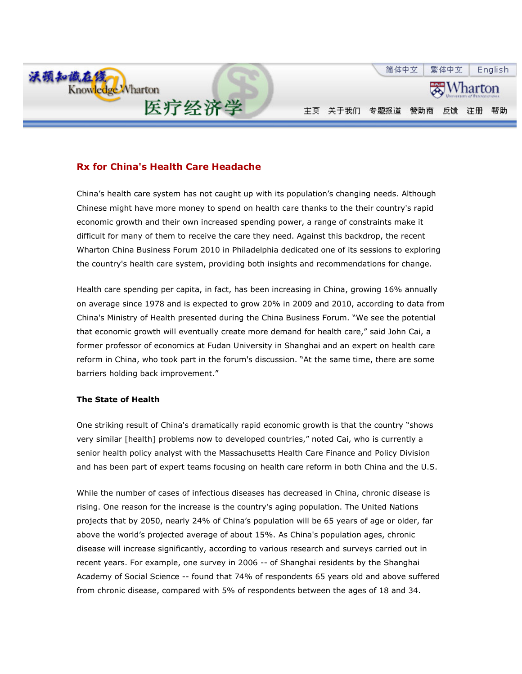

## Rx for China's Health Care Headache

China's health care system has not caught up with its population's changing needs. Although Chinese might have more money to spend on health care thanks to the their country's rapid economic growth and their own increased spending power, a range of constraints make it difficult for many of them to receive the care they need. Against this backdrop, the recent Wharton China Business Forum 2010 in Philadelphia dedicated one of its sessions to exploring the country's health care system, providing both insights and recommendations for change.

Health care spending per capita, in fact, has been increasing in China, growing 16% annually on average since 1978 and is expected to grow 20% in 2009 and 2010, according to data from China's Ministry of Health presented during the China Business Forum. "We see the potential that economic growth will eventually create more demand for health care," said John Cai, a former professor of economics at Fudan University in Shanghai and an expert on health care reform in China, who took part in the forum's discussion. "At the same time, there are some barriers holding back improvement."

## The State of Health

One striking result of China's dramatically rapid economic growth is that the country "shows very similar [health] problems now to developed countries," noted Cai, who is currently a senior health policy analyst with the Massachusetts Health Care Finance and Policy Division and has been part of expert teams focusing on health care reform in both China and the U.S.

While the number of cases of infectious diseases has decreased in China, chronic disease is rising. One reason for the increase is the country's aging population. The United Nations projects that by 2050, nearly 24% of China's population will be 65 years of age or older, far above the world's projected average of about 15%. As China's population ages, chronic disease will increase significantly, according to various research and surveys carried out in recent years. For example, one survey in 2006 -- of Shanghai residents by the Shanghai Academy of Social Science -- found that 74% of respondents 65 years old and above suffered from chronic disease, compared with 5% of respondents between the ages of 18 and 34.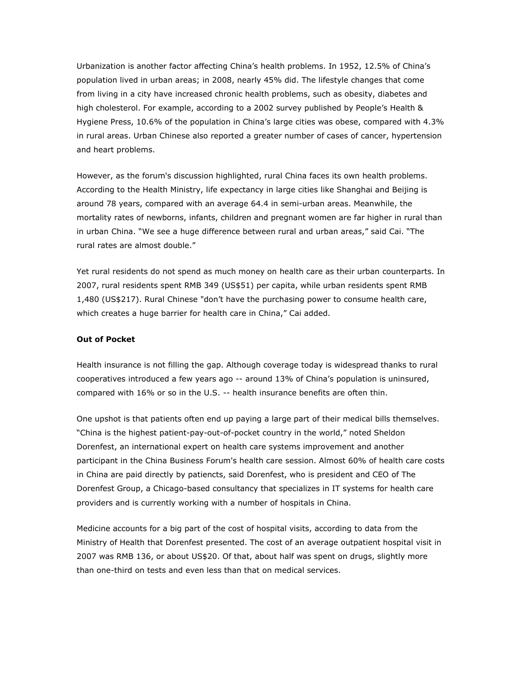Urbanization is another factor affecting China's health problems. In 1952, 12.5% of China's population lived in urban areas; in 2008, nearly 45% did. The lifestyle changes that come from living in a city have increased chronic health problems, such as obesity, diabetes and high cholesterol. For example, according to a 2002 survey published by People's Health & Hygiene Press, 10.6% of the population in China's large cities was obese, compared with 4.3% in rural areas. Urban Chinese also reported a greater number of cases of cancer, hypertension and heart problems.

However, as the forum's discussion highlighted, rural China faces its own health problems. According to the Health Ministry, life expectancy in large cities like Shanghai and Beijing is around 78 years, compared with an average 64.4 in semi-urban areas. Meanwhile, the mortality rates of newborns, infants, children and pregnant women are far higher in rural than in urban China. "We see a huge difference between rural and urban areas," said Cai. "The rural rates are almost double."

Yet rural residents do not spend as much money on health care as their urban counterparts. In 2007, rural residents spent RMB 349 (US\$51) per capita, while urban residents spent RMB 1,480 (US\$217). Rural Chinese "don't have the purchasing power to consume health care, which creates a huge barrier for health care in China," Cai added.

## Out of Pocket

Health insurance is not filling the gap. Although coverage today is widespread thanks to rural cooperatives introduced a few years ago -- around 13% of China's population is uninsured, compared with 16% or so in the U.S. -- health insurance benefits are often thin.

One upshot is that patients often end up paying a large part of their medical bills themselves. "China is the highest patient-pay-out-of-pocket country in the world," noted Sheldon Dorenfest, an international expert on health care systems improvement and another participant in the China Business Forum's health care session. Almost 60% of health care costs in China are paid directly by patiencts, said Dorenfest, who is president and CEO of The Dorenfest Group, a Chicago-based consultancy that specializes in IT systems for health care providers and is currently working with a number of hospitals in China.

Medicine accounts for a big part of the cost of hospital visits, according to data from the Ministry of Health that Dorenfest presented. The cost of an average outpatient hospital visit in 2007 was RMB 136, or about US\$20. Of that, about half was spent on drugs, slightly more than one-third on tests and even less than that on medical services.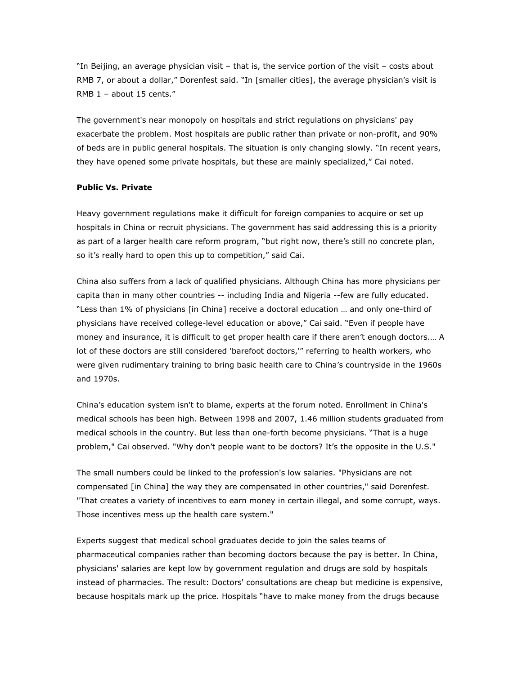"In Beijing, an average physician visit – that is, the service portion of the visit – costs about RMB 7, or about a dollar," Dorenfest said. "In [smaller cities], the average physician's visit is RMB 1 – about 15 cents."

The government's near monopoly on hospitals and strict regulations on physicians' pay exacerbate the problem. Most hospitals are public rather than private or non-profit, and 90% of beds are in public general hospitals. The situation is only changing slowly. "In recent years, they have opened some private hospitals, but these are mainly specialized," Cai noted.

## Public Vs. Private

Heavy government regulations make it difficult for foreign companies to acquire or set up hospitals in China or recruit physicians. The government has said addressing this is a priority as part of a larger health care reform program, "but right now, there's still no concrete plan, so it's really hard to open this up to competition," said Cai.

China also suffers from a lack of qualified physicians. Although China has more physicians per capita than in many other countries -- including India and Nigeria --few are fully educated. "Less than 1% of physicians [in China] receive a doctoral education … and only one-third of physicians have received college-level education or above," Cai said. "Even if people have money and insurance, it is difficult to get proper health care if there aren't enough doctors.… A lot of these doctors are still considered 'barefoot doctors,'" referring to health workers, who were given rudimentary training to bring basic health care to China's countryside in the 1960s and 1970s.

China's education system isn't to blame, experts at the forum noted. Enrollment in China's medical schools has been high. Between 1998 and 2007, 1.46 million students graduated from medical schools in the country. But less than one-forth become physicians. "That is a huge problem," Cai observed. "Why don't people want to be doctors? It's the opposite in the U.S."

The small numbers could be linked to the profession's low salaries. "Physicians are not compensated [in China] the way they are compensated in other countries," said Dorenfest. "That creates a variety of incentives to earn money in certain illegal, and some corrupt, ways. Those incentives mess up the health care system."

Experts suggest that medical school graduates decide to join the sales teams of pharmaceutical companies rather than becoming doctors because the pay is better. In China, physicians' salaries are kept low by government regulation and drugs are sold by hospitals instead of pharmacies. The result: Doctors' consultations are cheap but medicine is expensive, because hospitals mark up the price. Hospitals "have to make money from the drugs because